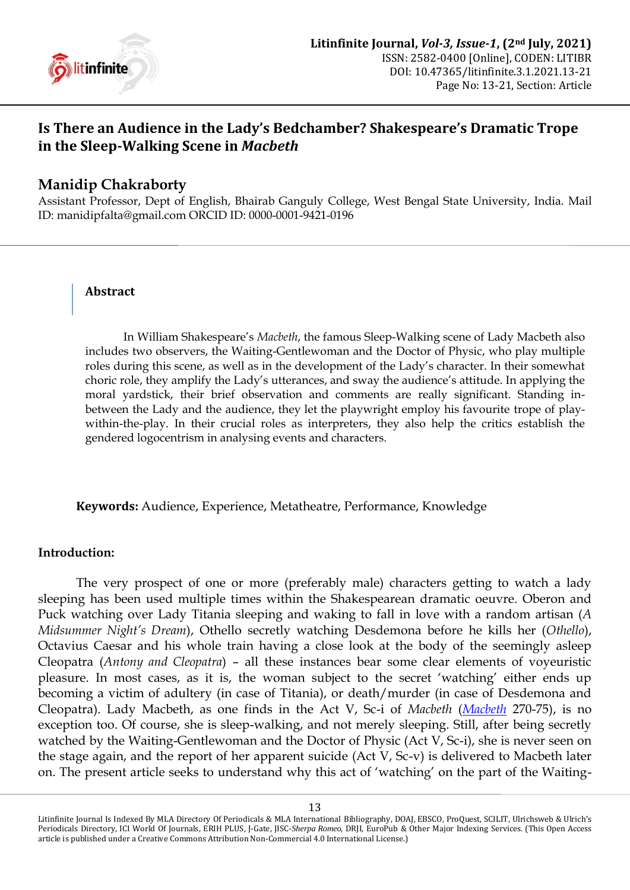

# **Is There an Audience in the Lady's Bedchamber? Shakespeare's Dramatic Trope in the Sleep-Walking Scene in** *Macbeth*

# **Manidip Chakraborty**

Assistant Professor, Dept of English, Bhairab Ganguly College, West Bengal State University, India. Mail ID[: manidipfalta@gmail.com](mailto:manidipfalta@gmail.com) ORCID ID: [0000-0001-9421-0196](https://orcid.org/0000-0001-9421-0196)

#### **Abstract**

In William Shakespeare"s *Macbeth*, the famous Sleep-Walking scene of Lady Macbeth also includes two observers, the Waiting-Gentlewoman and the Doctor of Physic, who play multiple roles during this scene, as well as in the development of the Lady"s character. In their somewhat choric role, they amplify the Lady"s utterances, and sway the audience"s attitude. In applying the moral yardstick, their brief observation and comments are really significant. Standing inbetween the Lady and the audience, they let the playwright employ his favourite trope of playwithin-the-play. In their crucial roles as interpreters, they also help the critics establish the gendered logocentrism in analysing events and characters.

**Keywords:** Audience, Experience, Metatheatre, Performance, Knowledge

# **Introduction:**

The very prospect of one or more (preferably male) characters getting to watch a lady sleeping has been used multiple times within the Shakespearean dramatic oeuvre. Oberon and Puck watching over Lady Titania sleeping and waking to fall in love with a random artisan (*A Midsummer Night's Dream*), Othello secretly watching Desdemona before he kills her (*Othello*), Octavius Caesar and his whole train having a close look at the body of the seemingly asleep Cleopatra (*Antony and Cleopatra*) – all these instances bear some clear elements of voyeuristic pleasure. In most cases, as it is, the woman subject to the secret "watching" either ends up becoming a victim of adultery (in case of Titania), or death/murder (in case of Desdemona and Cleopatra). Lady Macbeth, as one finds in the Act V, Sc-i of *Macbeth* (*[Macbeth](#page-7-0)* 270-75), is no exception too. Of course, she is sleep-walking, and not merely sleeping. Still, after being secretly watched by the Waiting-Gentlewoman and the Doctor of Physic (Act V, Sc-i), she is never seen on the stage again, and the report of her apparent suicide (Act V, Sc-v) is delivered to Macbeth later on. The present article seeks to understand why this act of "watching" on the part of the Waiting-

Litinfinite Journal Is Indexed By MLA Directory Of Periodicals & MLA International Bibliography, DOAJ, EBSCO, ProQuest, SCILIT, Ulrichsweb & Ulrich's Periodicals Directory, ICI World Of Journals, ERIH PLUS, J-Gate, JISC-*Sherpa Romeo*, DRJI, EuroPub & Other Major Indexing Services. (This Open Access article is published under a Creative Commons Attribution Non-Commercial 4.0 International License.)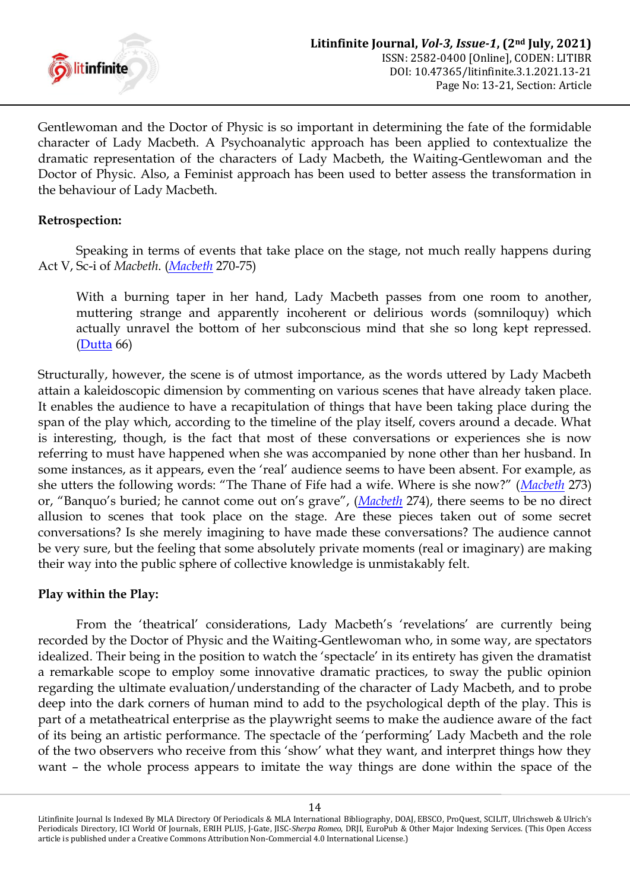

Gentlewoman and the Doctor of Physic is so important in determining the fate of the formidable character of Lady Macbeth. A Psychoanalytic approach has been applied to contextualize the dramatic representation of the characters of Lady Macbeth, the Waiting-Gentlewoman and the Doctor of Physic. Also, a Feminist approach has been used to better assess the transformation in the behaviour of Lady Macbeth.

# **Retrospection:**

Speaking in terms of events that take place on the stage, not much really happens during Act V, Sc-i of *Macbeth*. (*[Macbeth](#page-7-0)* 270-75)

With a burning taper in her hand, Lady Macbeth passes from one room to another, muttering strange and apparently incoherent or delirious words (somniloquy) which actually unravel the bottom of her subconscious mind that she so long kept repressed. [\(Dutta](#page-7-1) 66)

Structurally, however, the scene is of utmost importance, as the words uttered by Lady Macbeth attain a kaleidoscopic dimension by commenting on various scenes that have already taken place. It enables the audience to have a recapitulation of things that have been taking place during the span of the play which, according to the timeline of the play itself, covers around a decade. What is interesting, though, is the fact that most of these conversations or experiences she is now referring to must have happened when she was accompanied by none other than her husband. In some instances, as it appears, even the "real" audience seems to have been absent. For example, as she utters the following words: "The Thane of Fife had a wife. Where is she now?" (*[Macbeth](#page-7-0)* 273) or, "Banquo's buried; he cannot come out on's grave", (*[Macbeth](#page-7-0)* 274), there seems to be no direct allusion to scenes that took place on the stage. Are these pieces taken out of some secret conversations? Is she merely imagining to have made these conversations? The audience cannot be very sure, but the feeling that some absolutely private moments (real or imaginary) are making their way into the public sphere of collective knowledge is unmistakably felt.

# **Play within the Play:**

From the 'theatrical' considerations, Lady Macbeth's 'revelations' are currently being recorded by the Doctor of Physic and the Waiting-Gentlewoman who, in some way, are spectators idealized. Their being in the position to watch the "spectacle" in its entirety has given the dramatist a remarkable scope to employ some innovative dramatic practices, to sway the public opinion regarding the ultimate evaluation/understanding of the character of Lady Macbeth, and to probe deep into the dark corners of human mind to add to the psychological depth of the play. This is part of a metatheatrical enterprise as the playwright seems to make the audience aware of the fact of its being an artistic performance. The spectacle of the "performing" Lady Macbeth and the role of the two observers who receive from this "show" what they want, and interpret things how they want – the whole process appears to imitate the way things are done within the space of the

Litinfinite Journal Is Indexed By MLA Directory Of Periodicals & MLA International Bibliography, DOAJ, EBSCO, ProQuest, SCILIT, Ulrichsweb & Ulrich's Periodicals Directory, ICI World Of Journals, ERIH PLUS, J-Gate, JISC-*Sherpa Romeo*, DRJI, EuroPub & Other Major Indexing Services. (This Open Access article is published under a Creative Commons Attribution Non-Commercial 4.0 International License.)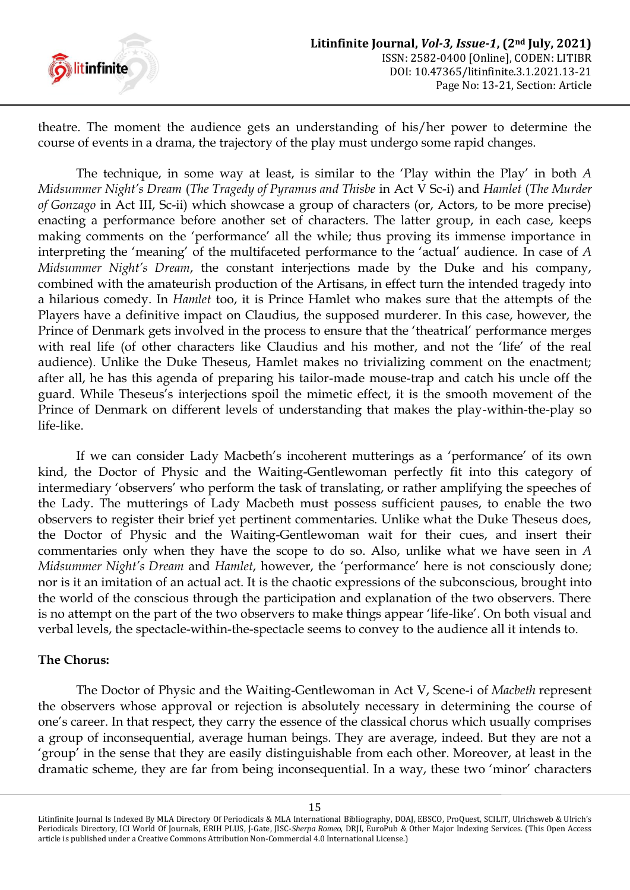

theatre. The moment the audience gets an understanding of his/her power to determine the course of events in a drama, the trajectory of the play must undergo some rapid changes.

The technique, in some way at least, is similar to the "Play within the Play" in both *A Midsummer Night's Dream* (*The Tragedy of Pyramus and Thisbe* in Act V Sc-i) and *Hamlet* (*The Murder of Gonzago* in Act III, Sc-ii) which showcase a group of characters (or, Actors, to be more precise) enacting a performance before another set of characters. The latter group, in each case, keeps making comments on the 'performance' all the while; thus proving its immense importance in interpreting the "meaning" of the multifaceted performance to the "actual" audience. In case of *A Midsummer Night's Dream*, the constant interjections made by the Duke and his company, combined with the amateurish production of the Artisans, in effect turn the intended tragedy into a hilarious comedy. In *Hamlet* too, it is Prince Hamlet who makes sure that the attempts of the Players have a definitive impact on Claudius, the supposed murderer. In this case, however, the Prince of Denmark gets involved in the process to ensure that the "theatrical" performance merges with real life (of other characters like Claudius and his mother, and not the "life" of the real audience). Unlike the Duke Theseus, Hamlet makes no trivializing comment on the enactment; after all, he has this agenda of preparing his tailor-made mouse-trap and catch his uncle off the guard. While Theseus's interjections spoil the mimetic effect, it is the smooth movement of the Prince of Denmark on different levels of understanding that makes the play-within-the-play so life-like.

If we can consider Lady Macbeth"s incoherent mutterings as a "performance" of its own kind, the Doctor of Physic and the Waiting-Gentlewoman perfectly fit into this category of intermediary 'observers' who perform the task of translating, or rather amplifying the speeches of the Lady. The mutterings of Lady Macbeth must possess sufficient pauses, to enable the two observers to register their brief yet pertinent commentaries. Unlike what the Duke Theseus does, the Doctor of Physic and the Waiting-Gentlewoman wait for their cues, and insert their commentaries only when they have the scope to do so. Also, unlike what we have seen in *A Midsummer Night's Dream* and *Hamlet*, however, the "performance" here is not consciously done; nor is it an imitation of an actual act. It is the chaotic expressions of the subconscious, brought into the world of the conscious through the participation and explanation of the two observers. There is no attempt on the part of the two observers to make things appear "life-like". On both visual and verbal levels, the spectacle-within-the-spectacle seems to convey to the audience all it intends to.

# **The Chorus:**

The Doctor of Physic and the Waiting-Gentlewoman in Act V, Scene-i of *Macbeth* represent the observers whose approval or rejection is absolutely necessary in determining the course of one"s career. In that respect, they carry the essence of the classical chorus which usually comprises a group of inconsequential, average human beings. They are average, indeed. But they are not a 'group' in the sense that they are easily distinguishable from each other. Moreover, at least in the dramatic scheme, they are far from being inconsequential. In a way, these two "minor" characters

Litinfinite Journal Is Indexed By MLA Directory Of Periodicals & MLA International Bibliography, DOAJ, EBSCO, ProQuest, SCILIT, Ulrichsweb & Ulrich's Periodicals Directory, ICI World Of Journals, ERIH PLUS, J-Gate, JISC-*Sherpa Romeo*, DRJI, EuroPub & Other Major Indexing Services. (This Open Access article is published under a Creative Commons Attribution Non-Commercial 4.0 International License.)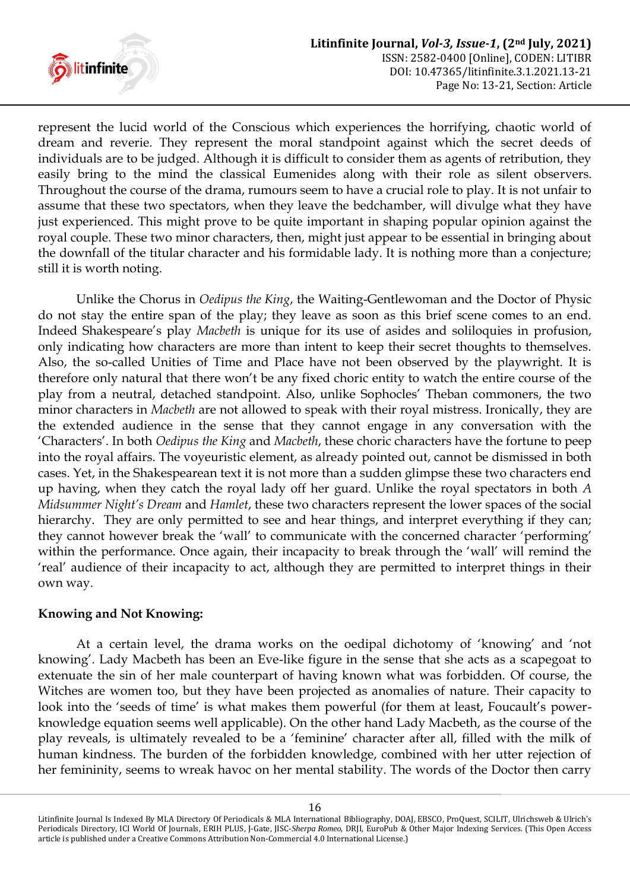

represent the lucid world of the Conscious which experiences the horrifying, chaotic world of dream and reverie. They represent the moral standpoint against which the secret deeds of individuals are to be judged. Although it is difficult to consider them as agents of retribution, they easily bring to the mind the classical Eumenides along with their role as silent observers. Throughout the course of the drama, rumours seem to have a crucial role to play. It is not unfair to assume that these two spectators, when they leave the bedchamber, will divulge what they have just experienced. This might prove to be quite important in shaping popular opinion against the royal couple. These two minor characters, then, might just appear to be essential in bringing about the downfall of the titular character and his formidable lady. It is nothing more than a conjecture; still it is worth noting.

Unlike the Chorus in *Oedipus the King*, the Waiting-Gentlewoman and the Doctor of Physic do not stay the entire span of the play; they leave as soon as this brief scene comes to an end. Indeed Shakespeare"s play *Macbeth* is unique for its use of asides and soliloquies in profusion, only indicating how characters are more than intent to keep their secret thoughts to themselves. Also, the so-called Unities of Time and Place have not been observed by the playwright. It is therefore only natural that there won"t be any fixed choric entity to watch the entire course of the play from a neutral, detached standpoint. Also, unlike Sophocles" Theban commoners, the two minor characters in *Macbeth* are not allowed to speak with their royal mistress. Ironically, they are the extended audience in the sense that they cannot engage in any conversation with the "Characters". In both *Oedipus the King* and *Macbeth*, these choric characters have the fortune to peep into the royal affairs. The voyeuristic element, as already pointed out, cannot be dismissed in both cases. Yet, in the Shakespearean text it is not more than a sudden glimpse these two characters end up having, when they catch the royal lady off her guard. Unlike the royal spectators in both *A Midsummer Night's Dream* and *Hamlet*, these two characters represent the lower spaces of the social hierarchy. They are only permitted to see and hear things, and interpret everything if they can; they cannot however break the 'wall' to communicate with the concerned character 'performing' within the performance. Once again, their incapacity to break through the "wall" will remind the "real" audience of their incapacity to act, although they are permitted to interpret things in their own way.

# **Knowing and Not Knowing:**

At a certain level, the drama works on the oedipal dichotomy of "knowing" and "not knowing'. Lady Macbeth has been an Eve-like figure in the sense that she acts as a scapegoat to extenuate the sin of her male counterpart of having known what was forbidden. Of course, the Witches are women too, but they have been projected as anomalies of nature. Their capacity to look into the 'seeds of time' is what makes them powerful (for them at least, Foucault's powerknowledge equation seems well applicable). On the other hand Lady Macbeth, as the course of the play reveals, is ultimately revealed to be a "feminine" character after all, filled with the milk of human kindness. The burden of the forbidden knowledge, combined with her utter rejection of her femininity, seems to wreak havoc on her mental stability. The words of the Doctor then carry

Litinfinite Journal Is Indexed By MLA Directory Of Periodicals & MLA International Bibliography, DOAJ, EBSCO, ProQuest, SCILIT, Ulrichsweb & Ulrich's Periodicals Directory, ICI World Of Journals, ERIH PLUS, J-Gate, JISC-*Sherpa Romeo*, DRJI, EuroPub & Other Major Indexing Services. (This Open Access article is published under a Creative Commons Attribution Non-Commercial 4.0 International License.)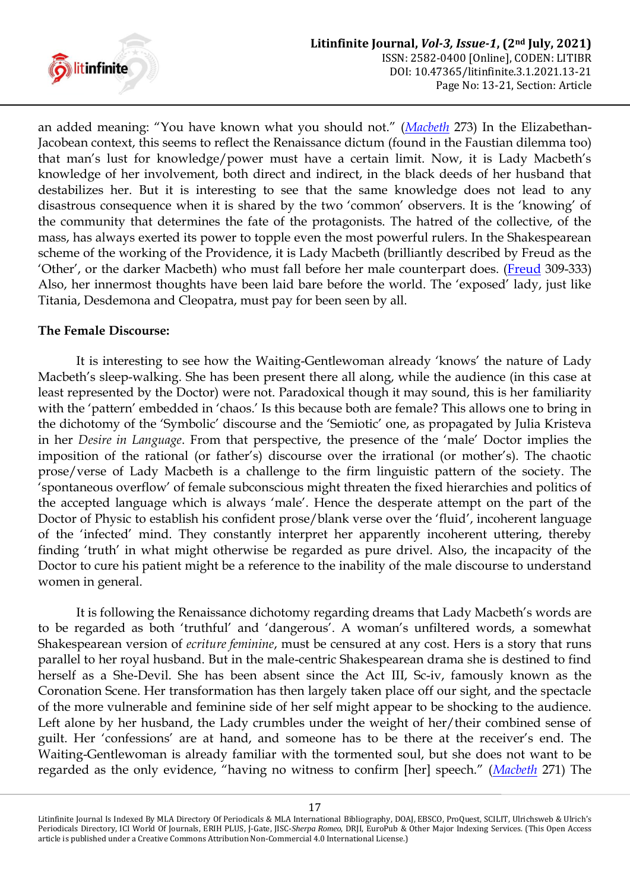

an added meaning: "You have known what you should not." (*[Macbeth](#page-7-0)* 273) In the Elizabethan-Jacobean context, this seems to reflect the Renaissance dictum (found in the Faustian dilemma too) that man"s lust for knowledge/power must have a certain limit. Now, it is Lady Macbeth"s knowledge of her involvement, both direct and indirect, in the black deeds of her husband that destabilizes her. But it is interesting to see that the same knowledge does not lead to any disastrous consequence when it is shared by the two "common" observers. It is the "knowing" of the community that determines the fate of the protagonists. The hatred of the collective, of the mass, has always exerted its power to topple even the most powerful rulers. In the Shakespearean scheme of the working of the Providence, it is Lady Macbeth (brilliantly described by Freud as the "Other", or the darker Macbeth) who must fall before her male counterpart does. [\(Freud](#page-7-2) 309-333) Also, her innermost thoughts have been laid bare before the world. The "exposed" lady, just like Titania, Desdemona and Cleopatra, must pay for been seen by all.

#### **The Female Discourse:**

It is interesting to see how the Waiting-Gentlewoman already "knows" the nature of Lady Macbeth's sleep-walking. She has been present there all along, while the audience (in this case at least represented by the Doctor) were not. Paradoxical though it may sound, this is her familiarity with the 'pattern' embedded in 'chaos.' Is this because both are female? This allows one to bring in the dichotomy of the "Symbolic" discourse and the "Semiotic" one, as propagated by Julia Kristeva in her *Desire in Language*. From that perspective, the presence of the "male" Doctor implies the imposition of the rational (or father"s) discourse over the irrational (or mother"s). The chaotic prose/verse of Lady Macbeth is a challenge to the firm linguistic pattern of the society. The "spontaneous overflow" of female subconscious might threaten the fixed hierarchies and politics of the accepted language which is always "male". Hence the desperate attempt on the part of the Doctor of Physic to establish his confident prose/blank verse over the "fluid", incoherent language of the "infected" mind. They constantly interpret her apparently incoherent uttering, thereby finding 'truth' in what might otherwise be regarded as pure drivel. Also, the incapacity of the Doctor to cure his patient might be a reference to the inability of the male discourse to understand women in general.

It is following the Renaissance dichotomy regarding dreams that Lady Macbeth's words are to be regarded as both 'truthful' and 'dangerous'. A woman's unfiltered words, a somewhat Shakespearean version of *ecriture feminine*, must be censured at any cost. Hers is a story that runs parallel to her royal husband. But in the male-centric Shakespearean drama she is destined to find herself as a She-Devil. She has been absent since the Act III, Sc-iv, famously known as the Coronation Scene. Her transformation has then largely taken place off our sight, and the spectacle of the more vulnerable and feminine side of her self might appear to be shocking to the audience. Left alone by her husband, the Lady crumbles under the weight of her/their combined sense of guilt. Her "confessions" are at hand, and someone has to be there at the receiver"s end. The Waiting-Gentlewoman is already familiar with the tormented soul, but she does not want to be regarded as the only evidence, "having no witness to confirm [her] speech." (*[Macbeth](#page-7-0)* 271) The

Litinfinite Journal Is Indexed By MLA Directory Of Periodicals & MLA International Bibliography, DOAJ, EBSCO, ProQuest, SCILIT, Ulrichsweb & Ulrich's Periodicals Directory, ICI World Of Journals, ERIH PLUS, J-Gate, JISC-*Sherpa Romeo*, DRJI, EuroPub & Other Major Indexing Services. (This Open Access article is published under a Creative Commons Attribution Non-Commercial 4.0 International License.)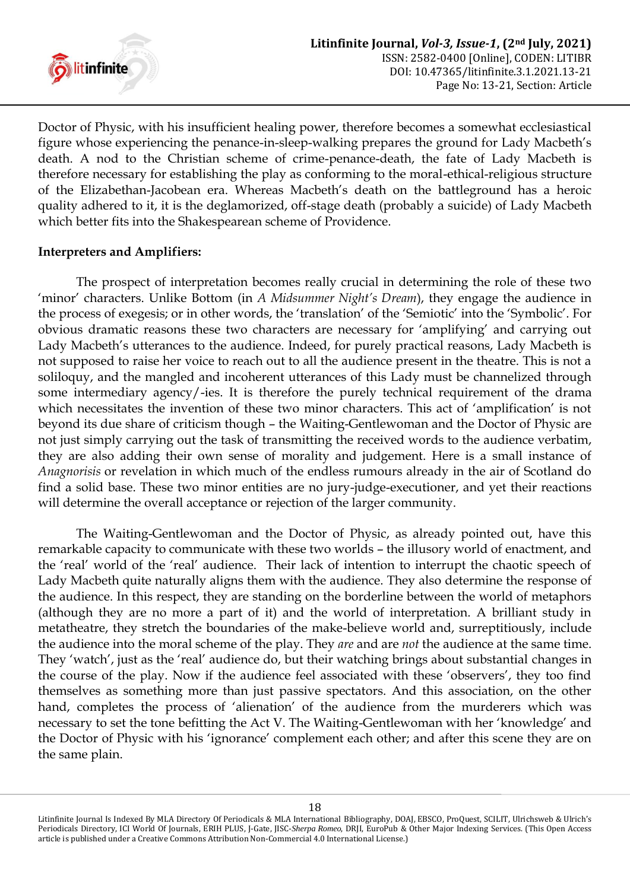

Doctor of Physic, with his insufficient healing power, therefore becomes a somewhat ecclesiastical figure whose experiencing the penance-in-sleep-walking prepares the ground for Lady Macbeth"s death. A nod to the Christian scheme of crime-penance-death, the fate of Lady Macbeth is therefore necessary for establishing the play as conforming to the moral-ethical-religious structure of the Elizabethan-Jacobean era. Whereas Macbeth"s death on the battleground has a heroic quality adhered to it, it is the deglamorized, off-stage death (probably a suicide) of Lady Macbeth which better fits into the Shakespearean scheme of Providence.

# **Interpreters and Amplifiers:**

The prospect of interpretation becomes really crucial in determining the role of these two "minor" characters. Unlike Bottom (in *A Midsummer Night's Dream*), they engage the audience in the process of exegesis; or in other words, the 'translation' of the 'Semiotic' into the 'Symbolic'. For obvious dramatic reasons these two characters are necessary for "amplifying" and carrying out Lady Macbeth's utterances to the audience. Indeed, for purely practical reasons, Lady Macbeth is not supposed to raise her voice to reach out to all the audience present in the theatre. This is not a soliloquy, and the mangled and incoherent utterances of this Lady must be channelized through some intermediary agency/-ies. It is therefore the purely technical requirement of the drama which necessitates the invention of these two minor characters. This act of 'amplification' is not beyond its due share of criticism though – the Waiting-Gentlewoman and the Doctor of Physic are not just simply carrying out the task of transmitting the received words to the audience verbatim, they are also adding their own sense of morality and judgement. Here is a small instance of *Anagnorisis* or revelation in which much of the endless rumours already in the air of Scotland do find a solid base. These two minor entities are no jury-judge-executioner, and yet their reactions will determine the overall acceptance or rejection of the larger community.

The Waiting-Gentlewoman and the Doctor of Physic, as already pointed out, have this remarkable capacity to communicate with these two worlds – the illusory world of enactment, and the "real" world of the "real" audience. Their lack of intention to interrupt the chaotic speech of Lady Macbeth quite naturally aligns them with the audience. They also determine the response of the audience. In this respect, they are standing on the borderline between the world of metaphors (although they are no more a part of it) and the world of interpretation. A brilliant study in metatheatre, they stretch the boundaries of the make-believe world and, surreptitiously, include the audience into the moral scheme of the play. They *are* and are *not* the audience at the same time. They 'watch', just as the 'real' audience do, but their watching brings about substantial changes in the course of the play. Now if the audience feel associated with these "observers", they too find themselves as something more than just passive spectators. And this association, on the other hand, completes the process of "alienation" of the audience from the murderers which was necessary to set the tone befitting the Act V. The Waiting-Gentlewoman with her "knowledge" and the Doctor of Physic with his "ignorance" complement each other; and after this scene they are on the same plain.

Litinfinite Journal Is Indexed By MLA Directory Of Periodicals & MLA International Bibliography, DOAJ, EBSCO, ProQuest, SCILIT, Ulrichsweb & Ulrich's Periodicals Directory, ICI World Of Journals, ERIH PLUS, J-Gate, JISC-*Sherpa Romeo*, DRJI, EuroPub & Other Major Indexing Services. (This Open Access article is published under a Creative Commons Attribution Non-Commercial 4.0 International License.)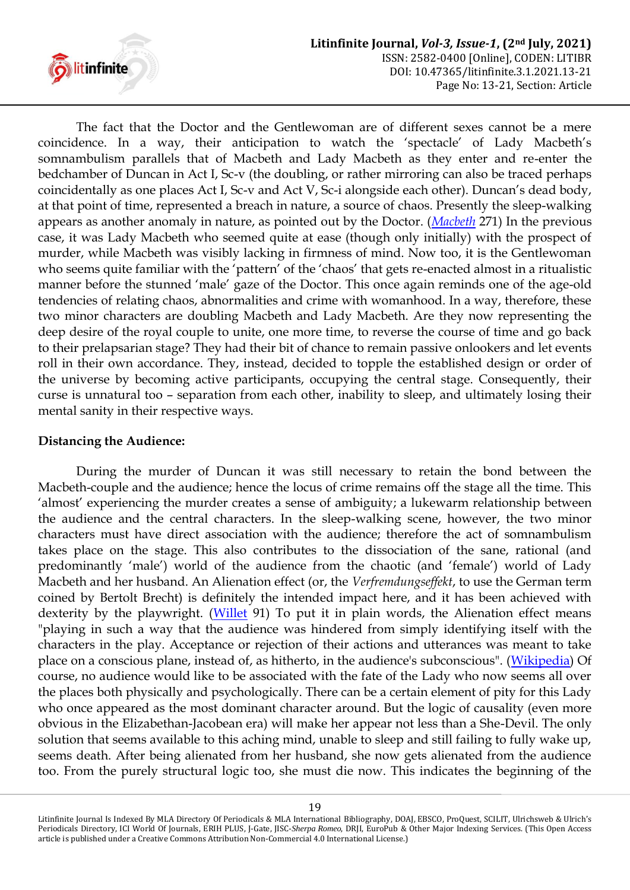

The fact that the Doctor and the Gentlewoman are of different sexes cannot be a mere coincidence. In a way, their anticipation to watch the "spectacle" of Lady Macbeth"s somnambulism parallels that of Macbeth and Lady Macbeth as they enter and re-enter the bedchamber of Duncan in Act I, Sc-v (the doubling, or rather mirroring can also be traced perhaps coincidentally as one places Act I, Sc-v and Act V, Sc-i alongside each other). Duncan"s dead body, at that point of time, represented a breach in nature, a source of chaos. Presently the sleep-walking appears as another anomaly in nature, as pointed out by the Doctor. (*[Macbeth](#page-7-0)* 271) In the previous case, it was Lady Macbeth who seemed quite at ease (though only initially) with the prospect of murder, while Macbeth was visibly lacking in firmness of mind. Now too, it is the Gentlewoman who seems quite familiar with the 'pattern' of the 'chaos' that gets re-enacted almost in a ritualistic manner before the stunned 'male' gaze of the Doctor. This once again reminds one of the age-old tendencies of relating chaos, abnormalities and crime with womanhood. In a way, therefore, these two minor characters are doubling Macbeth and Lady Macbeth. Are they now representing the deep desire of the royal couple to unite, one more time, to reverse the course of time and go back to their prelapsarian stage? They had their bit of chance to remain passive onlookers and let events roll in their own accordance. They, instead, decided to topple the established design or order of the universe by becoming active participants, occupying the central stage. Consequently, their curse is unnatural too – separation from each other, inability to sleep, and ultimately losing their mental sanity in their respective ways.

#### **Distancing the Audience:**

During the murder of Duncan it was still necessary to retain the bond between the Macbeth-couple and the audience; hence the locus of crime remains off the stage all the time. This "almost" experiencing the murder creates a sense of ambiguity; a lukewarm relationship between the audience and the central characters. In the sleep-walking scene, however, the two minor characters must have direct association with the audience; therefore the act of somnambulism takes place on the stage. This also contributes to the dissociation of the sane, rational (and predominantly "male") world of the audience from the chaotic (and "female") world of Lady Macbeth and her husband. An Alienation effect (or, the *Verfremdungseffekt*, to use the German term coined by Bertolt Brecht) is definitely the intended impact here, and it has been achieved with dexterity by the playwright. [\(Willet](#page-7-3) 91) To put it in plain words, the Alienation effect means "playing in such a way that the audience was hindered from simply identifying itself with the characters in the play. Acceptance or rejection of their actions and utterances was meant to take place on a conscious plane, instead of, as hitherto, in the audience's subconscious". [\(Wikipedia\)](#page-7-4) Of course, no audience would like to be associated with the fate of the Lady who now seems all over the places both physically and psychologically. There can be a certain element of pity for this Lady who once appeared as the most dominant character around. But the logic of causality (even more obvious in the Elizabethan-Jacobean era) will make her appear not less than a She-Devil. The only solution that seems available to this aching mind, unable to sleep and still failing to fully wake up, seems death. After being alienated from her husband, she now gets alienated from the audience too. From the purely structural logic too, she must die now. This indicates the beginning of the

Litinfinite Journal Is Indexed By MLA Directory Of Periodicals & MLA International Bibliography, DOAJ, EBSCO, ProQuest, SCILIT, Ulrichsweb & Ulrich's Periodicals Directory, ICI World Of Journals, ERIH PLUS, J-Gate, JISC-*Sherpa Romeo*, DRJI, EuroPub & Other Major Indexing Services. (This Open Access article is published under a Creative Commons Attribution Non-Commercial 4.0 International License.)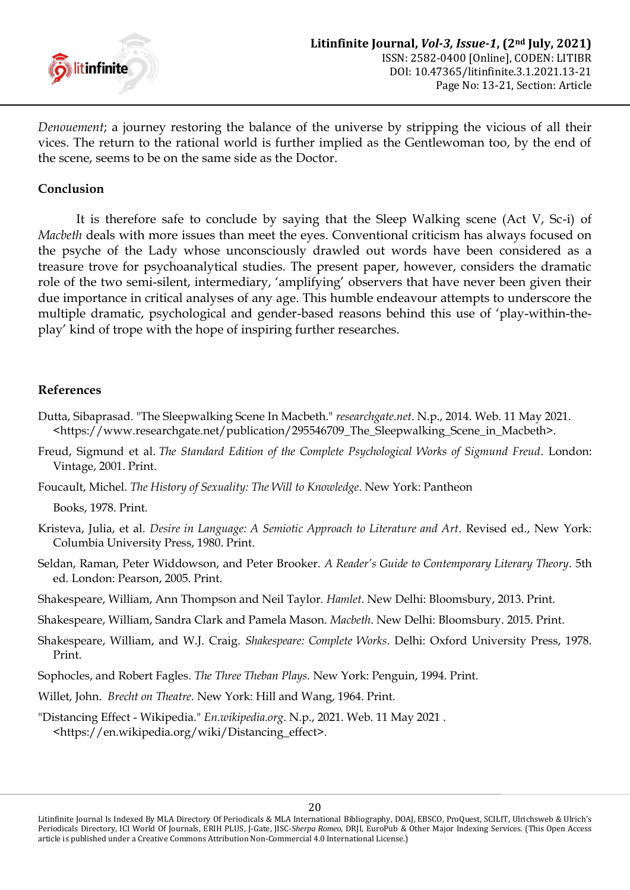

*Denouement*; a journey restoring the balance of the universe by stripping the vicious of all their vices. The return to the rational world is further implied as the Gentlewoman too, by the end of the scene, seems to be on the same side as the Doctor.

#### **Conclusion**

It is therefore safe to conclude by saying that the Sleep Walking scene (Act V, Sc-i) of *Macbeth* deals with more issues than meet the eyes. Conventional criticism has always focused on the psyche of the Lady whose unconsciously drawled out words have been considered as a treasure trove for psychoanalytical studies. The present paper, however, considers the dramatic role of the two semi-silent, intermediary, "amplifying" observers that have never been given their due importance in critical analyses of any age. This humble endeavour attempts to underscore the multiple dramatic, psychological and gender-based reasons behind this use of "play-within-theplay" kind of trope with the hope of inspiring further researches.

#### **References**

- <span id="page-7-1"></span>Dutta, Sibaprasad. "The Sleepwalking Scene In Macbeth." *researchgate.net*. N.p., 2014. Web. 11 May 2021. <https://www.researchgate.net/publication/295546709\_The\_Sleepwalking\_Scene\_in\_Macbeth>.
- <span id="page-7-2"></span>Freud, Sigmund et al. *The Standard Edition of the Complete Psychological Works of Sigmund Freud*. London: Vintage, 2001. Print.
- Foucault, Michel. *The History of Sexuality: The Will to Knowledge*. New York: Pantheon

Books, 1978. Print.

- Kristeva, Julia, et al. *Desire in Language: A Semiotic Approach to Literature and Art*. Revised ed., New York: Columbia University Press, 1980. Print.
- Seldan, Raman, Peter Widdowson, and Peter Brooker. *A Reader's Guide to Contemporary Literary Theory*. 5th ed. London: Pearson, 2005. Print.
- Shakespeare, William, Ann Thompson and Neil Taylor. *Hamlet*. New Delhi: Bloomsbury, 2013. Print.
- <span id="page-7-0"></span>Shakespeare, William, Sandra Clark and Pamela Mason. *Macbeth*. New Delhi: Bloomsbury. 2015. Print.
- Shakespeare, William, and W.J. Craig. *Shakespeare: Complete Works*. Delhi: Oxford University Press, 1978. Print.
- Sophocles, and Robert Fagles. *The Three Theban Plays.* New York: Penguin, 1994. Print.
- <span id="page-7-3"></span>Willet, John. *Brecht on Theatre.* New York: Hill and Wang, 1964. Print.
- <span id="page-7-4"></span>"Distancing Effect - Wikipedia." *En.wikipedia.org*. N.p., 2021. Web. 11 May 2021 . <https://en.wikipedia.org/wiki/Distancing\_effect>.